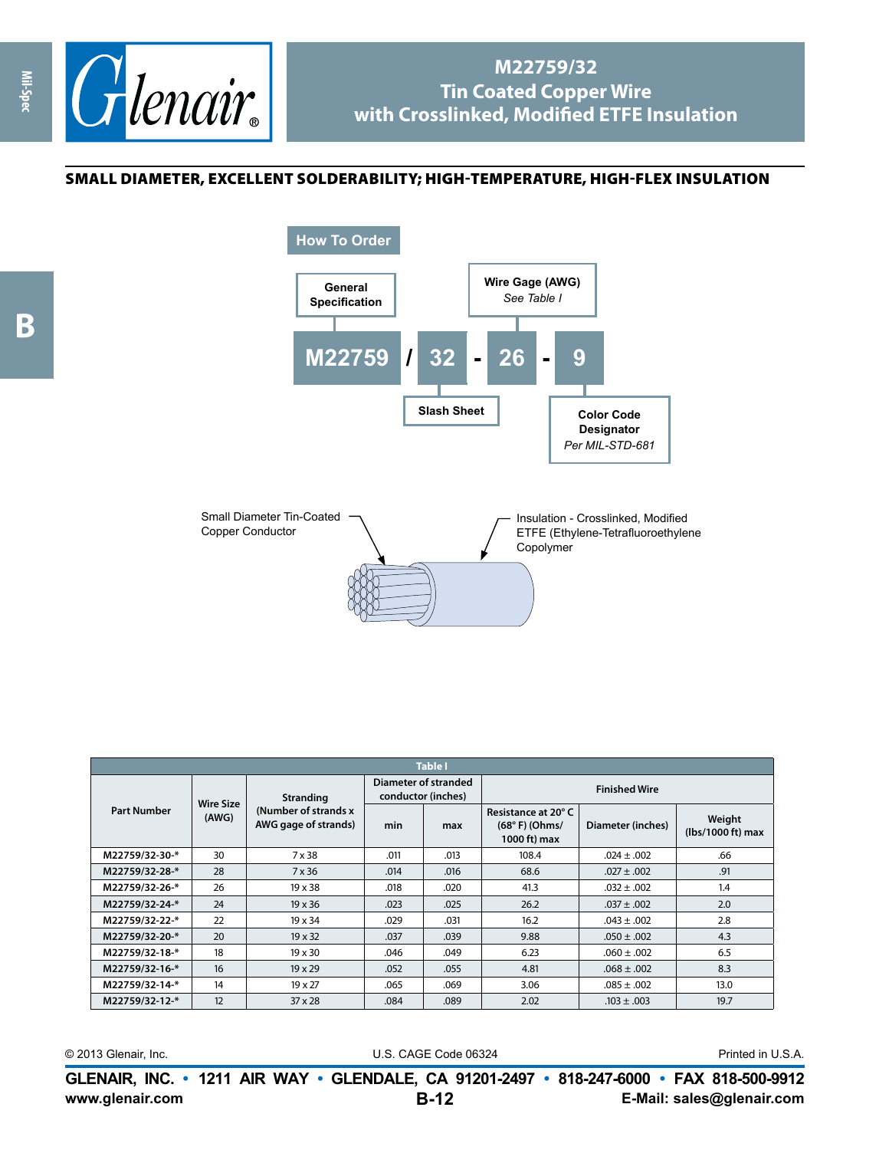

## **M22759/32 Tin Coated Copper Wire with Crosslinked, Modified ETFE Insulation**

## small diameter, excellent solderability; high-temperature, high-flex insulation

**Mil-Spec**





| <b>Table I</b>     |                           |                                                                   |                                            |      |                                                        |                   |                             |  |
|--------------------|---------------------------|-------------------------------------------------------------------|--------------------------------------------|------|--------------------------------------------------------|-------------------|-----------------------------|--|
| <b>Part Number</b> | <b>Wire Size</b><br>(AWG) | <b>Stranding</b><br>(Number of strands x)<br>AWG gage of strands) | Diameter of stranded<br>conductor (inches) |      | <b>Finished Wire</b>                                   |                   |                             |  |
|                    |                           |                                                                   | min                                        | max  | Resistance at 20°C<br>$(68° F)$ (Ohms/<br>1000 ft) max | Diameter (inches) | Weight<br>(lbs/1000 ft) max |  |
| M22759/32-30-*     | 30                        | 7 x 38                                                            | .011                                       | .013 | 108.4                                                  | $.024 \pm .002$   | .66                         |  |
| M22759/32-28-*     | 28                        | 7 x 36                                                            | .014                                       | .016 | 68.6                                                   | $.027 \pm .002$   | .91                         |  |
| M22759/32-26-*     | 26                        | $19 \times 38$                                                    | .018                                       | .020 | 41.3                                                   | $.032 + .002$     | 1.4                         |  |
| M22759/32-24-*     | 24                        | $19 \times 36$                                                    | .023                                       | .025 | 26.2                                                   | $.037 \pm .002$   | 2.0                         |  |
| M22759/32-22-*     | 22                        | $19 \times 34$                                                    | .029                                       | .031 | 16.2                                                   | $.043 \pm .002$   | 2.8                         |  |
| M22759/32-20-*     | 20                        | $19 \times 32$                                                    | .037                                       | .039 | 9.88                                                   | $.050 \pm .002$   | 4.3                         |  |
| M22759/32-18-*     | 18                        | $19 \times 30$                                                    | .046                                       | .049 | 6.23                                                   | $.060 \pm .002$   | 6.5                         |  |
| M22759/32-16-*     | 16                        | $19 \times 29$                                                    | .052                                       | .055 | 4.81                                                   | $.068 \pm .002$   | 8.3                         |  |
| M22759/32-14-*     | 14                        | 19 x 27                                                           | .065                                       | .069 | 3.06                                                   | $.085 \pm .002$   | 13.0                        |  |
| M22759/32-12-*     | 12                        | $37 \times 28$                                                    | .084                                       | .089 | 2.02                                                   | $.103 \pm .003$   | 19.7                        |  |

© 2013 Glenair, Inc. U.S. CAGE Code 06324 Printed in U.S.A.